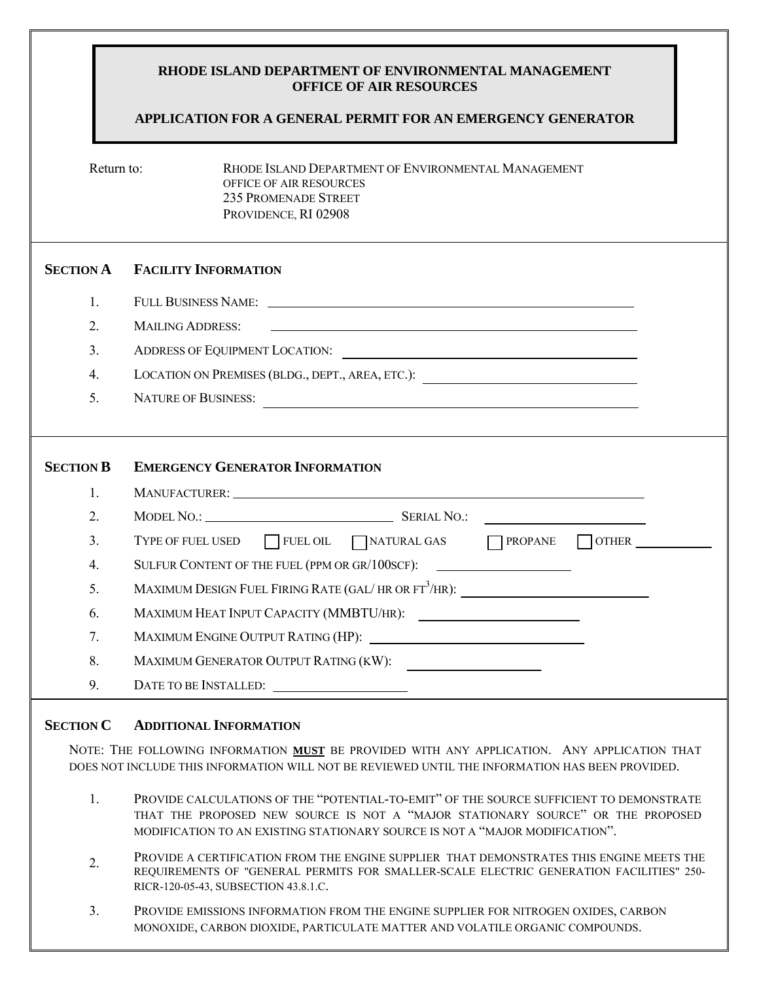### **RHODE ISLAND DEPARTMENT OF ENVIRONMENTAL MANAGEMENT OFFICE OF AIR RESOURCES**

## **APPLICATION FOR A GENERAL PERMIT FOR AN EMERGENCY GENERATOR**

Return to: **RHODE ISLAND DEPARTMENT OF ENVIRONMENTAL MANAGEMENT** OFFICE OF AIR RESOURCES 235 PROMENADE STREET PROVIDENCE, RI 02908

## **SECTION A FACILITY INFORMATION**

- 1. FULL BUSINESS NAME:
- 2. MAILING ADDRESS:
- 3. ADDRESS OF EQUIPMENT LOCATION:
- 4. LOCATION ON PREMISES (BLDG., DEPT., AREA, ETC.):
- 5. NATURE OF BUSINESS:

# **SECTION B EMERGENCY GENERATOR INFORMATION**

|                | MANUFACTURER: WELL ARE A SERIES AND THE SERIES OF THE SERIES OF THE SERIES OF THE SERIES OF THE SERIES OF THE SERIES OF THE SERIES OF THE SERIES OF THE SERIES OF THE SERIES OF THE SERIES OF THE SERIES OF THE SERIES OF THE |
|----------------|-------------------------------------------------------------------------------------------------------------------------------------------------------------------------------------------------------------------------------|
| 2.             | MODEL NO.: SERIAL NO.:<br><u> 1989 - Andrea Andrew Maria (b. 1989)</u>                                                                                                                                                        |
| 3 <sub>1</sub> | $\Box$ TYPE OF FUEL USED $\Box$ FUEL OIL $\Box$ NATURAL GAS<br><b>PROPANE</b>                                                                                                                                                 |
| 4.             | SULFUR CONTENT OF THE FUEL (PPM OR GR/100SCF):                                                                                                                                                                                |
| 5.             | MAXIMUM DESIGN FUEL FIRING RATE (GAL/HR OR FT <sup>3</sup> /HR): ____________________________                                                                                                                                 |
| 6.             | MAXIMUM HEAT INPUT CAPACITY (MMBTU/HR):<br><u> 1989 - Andrea Albert III, martin a bh</u>                                                                                                                                      |
| 7.             |                                                                                                                                                                                                                               |
| 8.             | MAXIMUM GENERATOR OUTPUT RATING (KW):                                                                                                                                                                                         |
| 9.             | DATE TO BE INSTALLED:                                                                                                                                                                                                         |

#### **SECTION C ADDITIONAL INFORMATION**

NOTE: THE FOLLOWING INFORMATION **MUST** BE PROVIDED WITH ANY APPLICATION. ANY APPLICATION THAT DOES NOT INCLUDE THIS INFORMATION WILL NOT BE REVIEWED UNTIL THE INFORMATION HAS BEEN PROVIDED.

- 1. PROVIDE CALCULATIONS OF THE "POTENTIAL-TO-EMIT" OF THE SOURCE SUFFICIENT TO DEMONSTRATE THAT THE PROPOSED NEW SOURCE IS NOT A "MAJOR STATIONARY SOURCE" OR THE PROPOSED MODIFICATION TO AN EXISTING STATIONARY SOURCE IS NOT A "MAJOR MODIFICATION".
- 2. <sup>P</sup>ROVIDE A CERTIFICATION FROM THE ENGINE SUPPLIER THAT DEMONSTRATES THIS ENGINE MEETS THE REQUIREMENTS OF "GENERAL PERMITS FOR SMALLER-SCALE ELECTRIC GENERATION FACILITIES" 250- RICR-120-05-43, SUBSECTION 43.8.1.C.
- 3. PROVIDE EMISSIONS INFORMATION FROM THE ENGINE SUPPLIER FOR NITROGEN OXIDES, CARBON MONOXIDE, CARBON DIOXIDE, PARTICULATE MATTER AND VOLATILE ORGANIC COMPOUNDS.